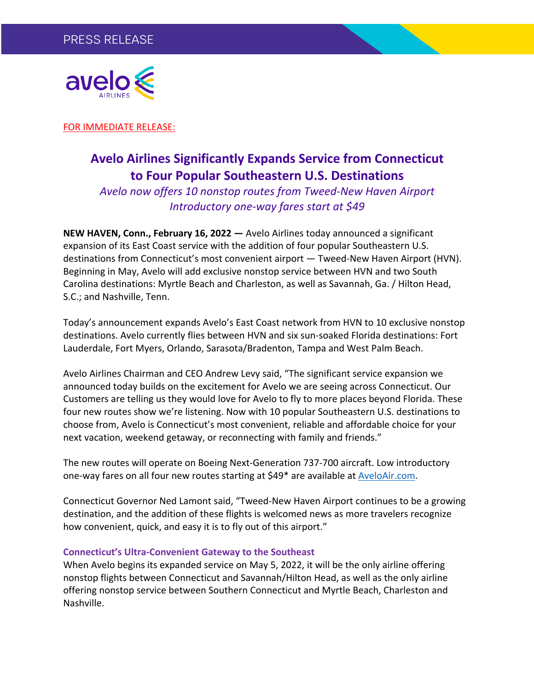

FOR IMMEDIATE RELEASE:

# **Avelo Airlines Significantly Expands Service from Connecticut to Four Popular Southeastern U.S. Destinations**

*Avelo now offers 10 nonstop routes from Tweed-New Haven Airport Introductory one-way fares start at \$49*

**NEW HAVEN, Conn., February 16, 2022 —** Avelo Airlines today announced a significant expansion of its East Coast service with the addition of four popular Southeastern U.S. destinations from Connecticut's most convenient airport — Tweed-New Haven Airport (HVN). Beginning in May, Avelo will add exclusive nonstop service between HVN and two South Carolina destinations: Myrtle Beach and Charleston, as well as Savannah, Ga. / Hilton Head, S.C.; and Nashville, Tenn.

Today's announcement expands Avelo's East Coast network from HVN to 10 exclusive nonstop destinations. Avelo currently flies between HVN and six sun-soaked Florida destinations: Fort Lauderdale, Fort Myers, Orlando, Sarasota/Bradenton, Tampa and West Palm Beach.

Avelo Airlines Chairman and CEO Andrew Levy said, "The significant service expansion we announced today builds on the excitement for Avelo we are seeing across Connecticut. Our Customers are telling us they would love for Avelo to fly to more places beyond Florida. These four new routes show we're listening. Now with 10 popular Southeastern U.S. destinations to choose from, Avelo is Connecticut's most convenient, reliable and affordable choice for your next vacation, weekend getaway, or reconnecting with family and friends."

The new routes will operate on Boeing Next-Generation 737-700 aircraft. Low introductory one-way fares on all four new routes starting at \$49\* are available at AveloAir.com.

Connecticut Governor Ned Lamont said, "Tweed-New Haven Airport continues to be a growing destination, and the addition of these flights is welcomed news as more travelers recognize how convenient, quick, and easy it is to fly out of this airport."

## **Connecticut's Ultra-Convenient Gateway to the Southeast**

When Avelo begins its expanded service on May 5, 2022, it will be the only airline offering nonstop flights between Connecticut and Savannah/Hilton Head, as well as the only airline offering nonstop service between Southern Connecticut and Myrtle Beach, Charleston and Nashville.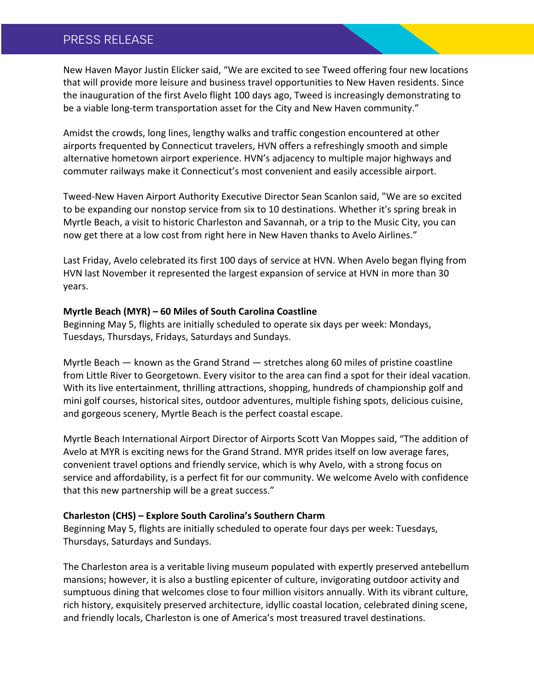# PRESS RELEASE

New Haven Mayor Justin Elicker said, "We are excited to see Tweed offering four new locations that will provide more leisure and business travel opportunities to New Haven residents. Since the inauguration of the first Avelo flight 100 days ago, Tweed is increasingly demonstrating to be a viable long-term transportation asset for the City and New Haven community."

Amidst the crowds, long lines, lengthy walks and traffic congestion encountered at other airports frequented by Connecticut travelers, HVN offers a refreshingly smooth and simple alternative hometown airport experience. HVN's adjacency to multiple major highways and commuter railways make it Connecticut's most convenient and easily accessible airport.

Tweed-New Haven Airport Authority Executive Director Sean Scanlon said, "We are so excited to be expanding our nonstop service from six to 10 destinations. Whether it's spring break in Myrtle Beach, a visit to historic Charleston and Savannah, or a trip to the Music City, you can now get there at a low cost from right here in New Haven thanks to Avelo Airlines."

Last Friday, Avelo celebrated its first 100 days of service at HVN. When Avelo began flying from HVN last November it represented the largest expansion of service at HVN in more than 30 years.

## **Myrtle Beach (MYR) – 60 Miles of South Carolina Coastline**

Beginning May 5, flights are initially scheduled to operate six days per week: Mondays, Tuesdays, Thursdays, Fridays, Saturdays and Sundays.

Myrtle Beach — known as the Grand Strand — stretches along 60 miles of pristine coastline from Little River to Georgetown. Every visitor to the area can find a spot for their ideal vacation. With its live entertainment, thrilling attractions, shopping, hundreds of championship golf and mini golf courses, historical sites, outdoor adventures, multiple fishing spots, delicious cuisine, and gorgeous scenery, Myrtle Beach is the perfect coastal escape.

Myrtle Beach International Airport Director of Airports Scott Van Moppes said, "The addition of Avelo at MYR is exciting news for the Grand Strand. MYR prides itself on low average fares, convenient travel options and friendly service, which is why Avelo, with a strong focus on service and affordability, is a perfect fit for our community. We welcome Avelo with confidence that this new partnership will be a great success."

## **Charleston (CHS) – Explore South Carolina's Southern Charm**

Beginning May 5, flights are initially scheduled to operate four days per week: Tuesdays, Thursdays, Saturdays and Sundays.

The Charleston area is a veritable living museum populated with expertly preserved antebellum mansions; however, it is also a bustling epicenter of culture, invigorating outdoor activity and sumptuous dining that welcomes close to four million visitors annually. With its vibrant culture, rich history, exquisitely preserved architecture, idyllic coastal location, celebrated dining scene, and friendly locals, Charleston is one of America's most treasured travel destinations.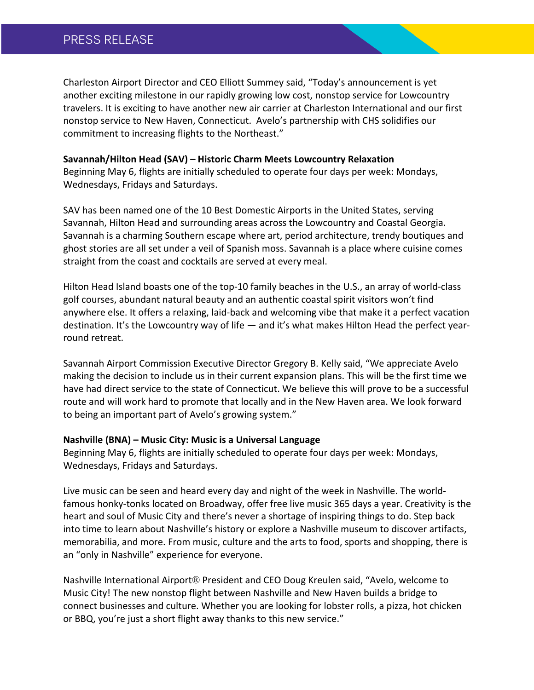# PRESS RELEASE

Charleston Airport Director and CEO Elliott Summey said, "Today's announcement is yet another exciting milestone in our rapidly growing low cost, nonstop service for Lowcountry travelers. It is exciting to have another new air carrier at Charleston International and our first nonstop service to New Haven, Connecticut. Avelo's partnership with CHS solidifies our commitment to increasing flights to the Northeast."

#### **Savannah/Hilton Head (SAV) – Historic Charm Meets Lowcountry Relaxation**

Beginning May 6, flights are initially scheduled to operate four days per week: Mondays, Wednesdays, Fridays and Saturdays.

SAV has been named one of the 10 Best Domestic Airports in the United States, serving Savannah, Hilton Head and surrounding areas across the Lowcountry and Coastal Georgia. Savannah is a charming Southern escape where art, period architecture, trendy boutiques and ghost stories are all set under a veil of Spanish moss. Savannah is a place where cuisine comes straight from the coast and cocktails are served at every meal.

Hilton Head Island boasts one of the top-10 family beaches in the U.S., an array of world-class golf courses, abundant natural beauty and an authentic coastal spirit visitors won't find anywhere else. It offers a relaxing, laid-back and welcoming vibe that make it a perfect vacation destination. It's the Lowcountry way of life — and it's what makes Hilton Head the perfect yearround retreat.

Savannah Airport Commission Executive Director Gregory B. Kelly said, "We appreciate Avelo making the decision to include us in their current expansion plans. This will be the first time we have had direct service to the state of Connecticut. We believe this will prove to be a successful route and will work hard to promote that locally and in the New Haven area. We look forward to being an important part of Avelo's growing system."

## **Nashville (BNA) – Music City: Music is a Universal Language**

Beginning May 6, flights are initially scheduled to operate four days per week: Mondays, Wednesdays, Fridays and Saturdays.

Live music can be seen and heard every day and night of the week in Nashville. The worldfamous honky-tonks located on Broadway, offer free live music 365 days a year. Creativity is the heart and soul of Music City and there's never a shortage of inspiring things to do. Step back into time to learn about Nashville's history or explore a Nashville museum to discover artifacts, memorabilia, and more. From music, culture and the arts to food, sports and shopping, there is an "only in Nashville" experience for everyone.

Nashville International Airport® President and CEO Doug Kreulen said, "Avelo, welcome to Music City! The new nonstop flight between Nashville and New Haven builds a bridge to connect businesses and culture. Whether you are looking for lobster rolls, a pizza, hot chicken or BBQ, you're just a short flight away thanks to this new service."